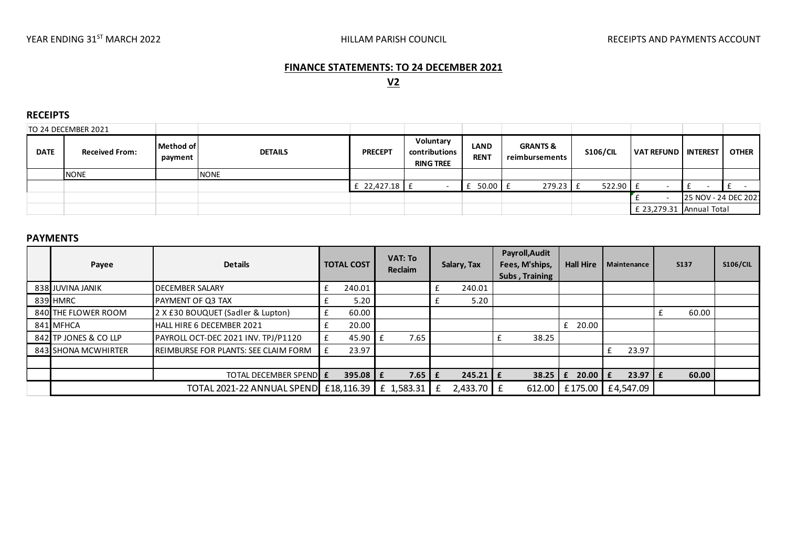## **FINANCE STATEMENTS: TO 24 DECEMBER 2021**

# **V2**

#### **RECEIPTS**

| TO 24 DECEMBER 2021 |                       |                      |                |                   |                                                |                            |                                       |                 |                       |                      |              |
|---------------------|-----------------------|----------------------|----------------|-------------------|------------------------------------------------|----------------------------|---------------------------------------|-----------------|-----------------------|----------------------|--------------|
| <b>DATE</b>         | <b>Received From:</b> | Method of<br>payment | <b>DETAILS</b> | <b>PRECEPT</b>    | Voluntary<br>contributions<br><b>RING TREE</b> | <b>LAND</b><br><b>RENT</b> | <b>GRANTS &amp;</b><br>reimbursements | <b>S106/CIL</b> | VAT REFUND   INTEREST |                      | <b>OTHER</b> |
|                     | <b>NONE</b>           |                      | <b>NONE</b>    |                   |                                                |                            |                                       |                 |                       |                      |              |
|                     |                       |                      |                | $E$ 22,427.18 $E$ |                                                | $f$ 50.00 $f$              | $279.23$ £                            | $522.90$ £      |                       |                      |              |
|                     |                       |                      |                |                   |                                                |                            |                                       |                 |                       | 25 NOV - 24 DEC 202: |              |
|                     |                       |                      |                |                   |                                                |                            |                                       |                 | £ 23,279.31           | Annual Total         |              |
|                     |                       |                      |                |                   |                                                |                            |                                       |                 |                       |                      |              |

#### **PAYMENTS**

| Payee                                 | <b>Details</b>                       | <b>TOTAL COST</b> |              | <b>VAT: To</b><br>Reclaim |  | Salary, Tax  |  | Payroll, Audit<br>Fees, M'ships,<br>Subs, Training | <b>Hall Hire</b> | Maintenance    | <b>S137</b> | <b>S106/CIL</b> |
|---------------------------------------|--------------------------------------|-------------------|--------------|---------------------------|--|--------------|--|----------------------------------------------------|------------------|----------------|-------------|-----------------|
| 838 JUVINA JANIK                      | <b>DECEMBER SALARY</b>               | $\mathbf f$       | 240.01       |                           |  | 240.01       |  |                                                    |                  |                |             |                 |
| 839 HMRC                              | <b>PAYMENT OF Q3 TAX</b>             |                   | 5.20         |                           |  | 5.20         |  |                                                    |                  |                |             |                 |
| 840 THE FLOWER ROOM                   | 2 X £30 BOUQUET (Sadler & Lupton)    | £                 | 60.00        |                           |  |              |  |                                                    |                  |                | 60.00       |                 |
| 841 MFHCA                             | HALL HIRE 6 DECEMBER 2021            |                   | 20.00        |                           |  |              |  |                                                    | 20.00            |                |             |                 |
| 842 TP JONES & CO LLP                 | PAYROLL OCT-DEC 2021 INV. TPJ/P1120  |                   | 45.90        | 7.65                      |  |              |  | 38.25                                              |                  |                |             |                 |
| 843 SHONA MCWHIRTER                   | REIMBURSE FOR PLANTS: SEE CLAIM FORM |                   | 23.97        |                           |  |              |  |                                                    |                  | 23.97          |             |                 |
|                                       |                                      |                   |              |                           |  |              |  |                                                    |                  |                |             |                 |
|                                       | TOTAL DECEMBER SPEND E               |                   | $395.08$ $E$ | $7.65 \mid f$             |  | $245.21$   £ |  | 38.25                                              | 20.00 $E$<br>£   | $23.97 \mid f$ | 60.00       |                 |
| TOTAL 2021-22 ANNUAL SPEND £18,116.39 |                                      |                   |              | £ 1,583.31                |  | 2,433.70     |  | 612.00                                             | £175.00          | E4,547.09      |             |                 |